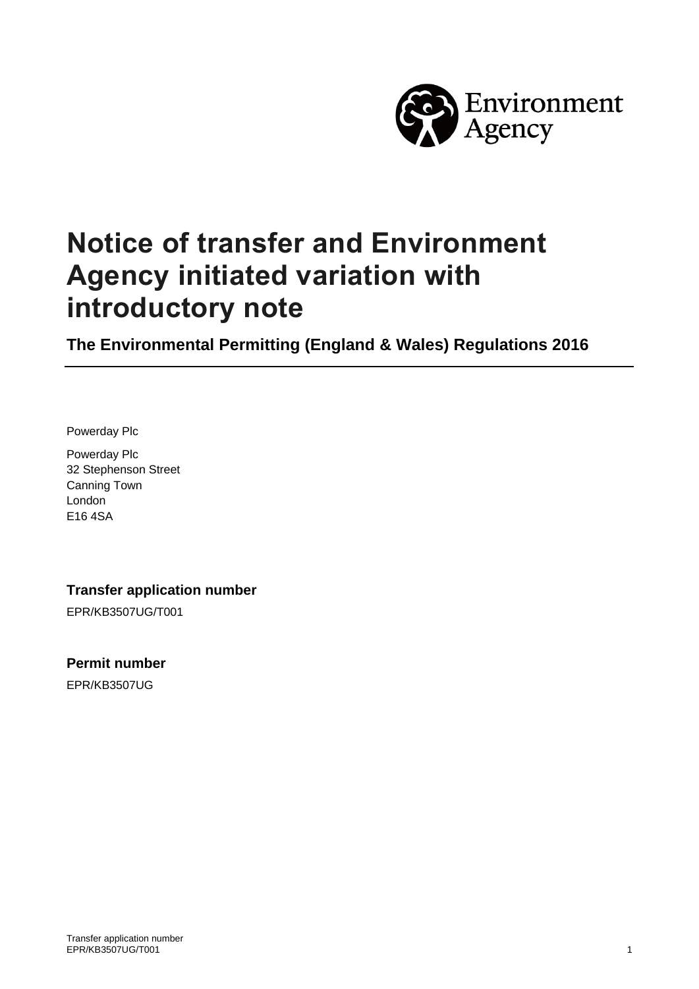

# **Notice of transfer and Environment Agency initiated variation with introductory note**

**The Environmental Permitting (England & Wales) Regulations 2016**

Powerday Plc

Powerday Plc 32 Stephenson Street Canning Town London E16 4SA

**Transfer application number**

EPR/KB3507UG/T001

**Permit number**

EPR/KB3507UG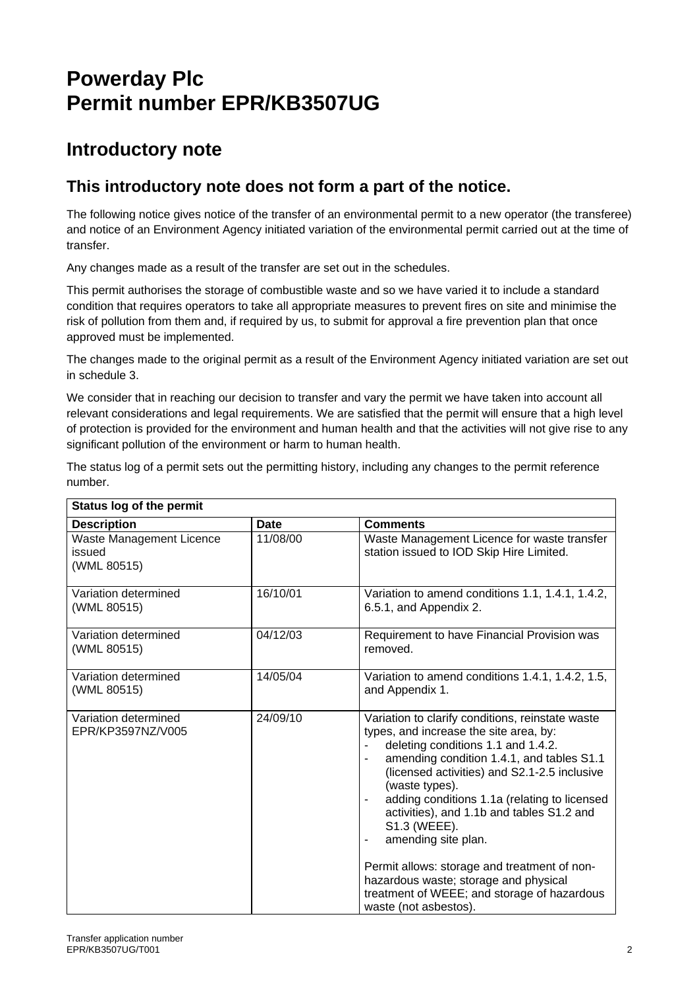## **Powerday Plc Permit number EPR/KB3507UG**

## **Introductory note**

### **This introductory note does not form a part of the notice.**

The following notice gives notice of the transfer of an environmental permit to a new operator (the transferee) and notice of an Environment Agency initiated variation of the environmental permit carried out at the time of transfer.

Any changes made as a result of the transfer are set out in the schedules.

This permit authorises the storage of combustible waste and so we have varied it to include a standard condition that requires operators to take all appropriate measures to prevent fires on site and minimise the risk of pollution from them and, if required by us, to submit for approval a fire prevention plan that once approved must be implemented.

The changes made to the original permit as a result of the Environment Agency initiated variation are set out in schedule 3.

We consider that in reaching our decision to transfer and vary the permit we have taken into account all relevant considerations and legal requirements. We are satisfied that the permit will ensure that a high level of protection is provided for the environment and human health and that the activities will not give rise to any significant pollution of the environment or harm to human health.

| The status log of a permit sets out the permitting history, including any changes to the permit reference |  |  |
|-----------------------------------------------------------------------------------------------------------|--|--|
| number.                                                                                                   |  |  |

| Status log of the permit                          |             |                                                                                                                                                                                                                                                                                                                                                                                                                                                                                                                                                      |  |  |  |
|---------------------------------------------------|-------------|------------------------------------------------------------------------------------------------------------------------------------------------------------------------------------------------------------------------------------------------------------------------------------------------------------------------------------------------------------------------------------------------------------------------------------------------------------------------------------------------------------------------------------------------------|--|--|--|
| <b>Description</b>                                | <b>Date</b> | <b>Comments</b>                                                                                                                                                                                                                                                                                                                                                                                                                                                                                                                                      |  |  |  |
| Waste Management Licence<br>issued<br>(WML 80515) | 11/08/00    | Waste Management Licence for waste transfer<br>station issued to IOD Skip Hire Limited.                                                                                                                                                                                                                                                                                                                                                                                                                                                              |  |  |  |
| Variation determined<br>(WML 80515)               | 16/10/01    | Variation to amend conditions 1.1, 1.4.1, 1.4.2,<br>6.5.1, and Appendix 2.                                                                                                                                                                                                                                                                                                                                                                                                                                                                           |  |  |  |
| Variation determined<br>(WML 80515)               | 04/12/03    | Requirement to have Financial Provision was<br>removed.                                                                                                                                                                                                                                                                                                                                                                                                                                                                                              |  |  |  |
| Variation determined<br>(WML 80515)               | 14/05/04    | Variation to amend conditions 1.4.1, 1.4.2, 1.5,<br>and Appendix 1.                                                                                                                                                                                                                                                                                                                                                                                                                                                                                  |  |  |  |
| Variation determined<br>EPR/KP3597NZ/V005         | 24/09/10    | Variation to clarify conditions, reinstate waste<br>types, and increase the site area, by:<br>deleting conditions 1.1 and 1.4.2.<br>amending condition 1.4.1, and tables S1.1<br>(licensed activities) and S2.1-2.5 inclusive<br>(waste types).<br>adding conditions 1.1a (relating to licensed<br>activities), and 1.1b and tables S1.2 and<br>S1.3 (WEEE).<br>amending site plan.<br>Permit allows: storage and treatment of non-<br>hazardous waste; storage and physical<br>treatment of WEEE; and storage of hazardous<br>waste (not asbestos). |  |  |  |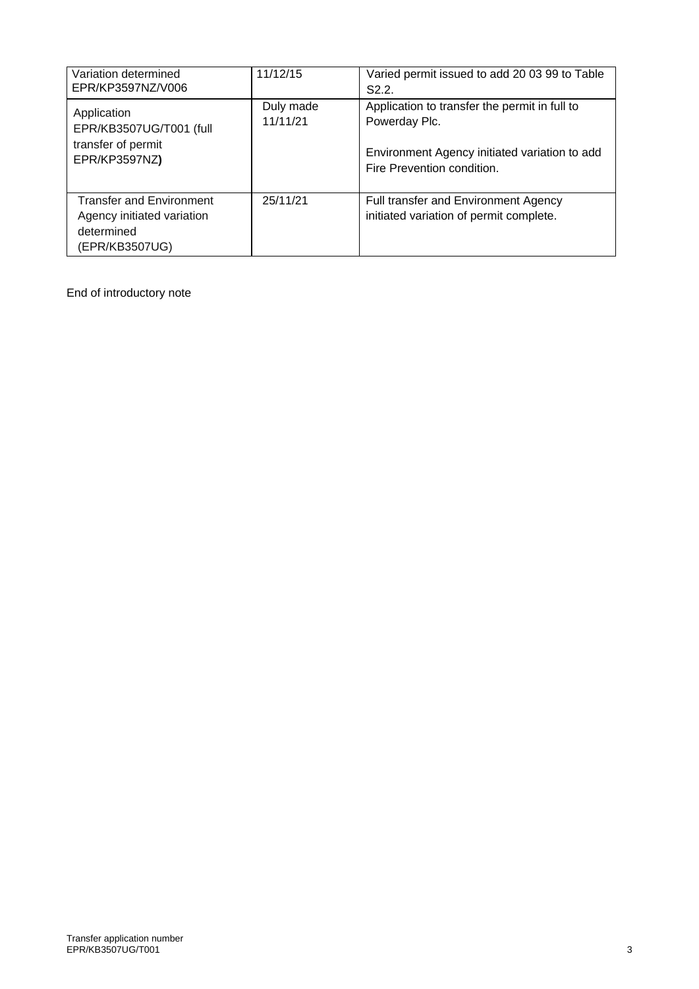| Variation determined<br>EPR/KP3597NZ/V006                                                     | 11/12/15              | Varied permit issued to add 20 03 99 to Table<br>S2.2                                                                                         |
|-----------------------------------------------------------------------------------------------|-----------------------|-----------------------------------------------------------------------------------------------------------------------------------------------|
| Application<br>EPR/KB3507UG/T001 (full<br>transfer of permit<br>EPR/KP3597NZ)                 | Duly made<br>11/11/21 | Application to transfer the permit in full to<br>Powerday Plc.<br>Environment Agency initiated variation to add<br>Fire Prevention condition. |
| <b>Transfer and Environment</b><br>Agency initiated variation<br>determined<br>(EPR/KB3507UG) | 25/11/21              | Full transfer and Environment Agency<br>initiated variation of permit complete.                                                               |

End of introductory note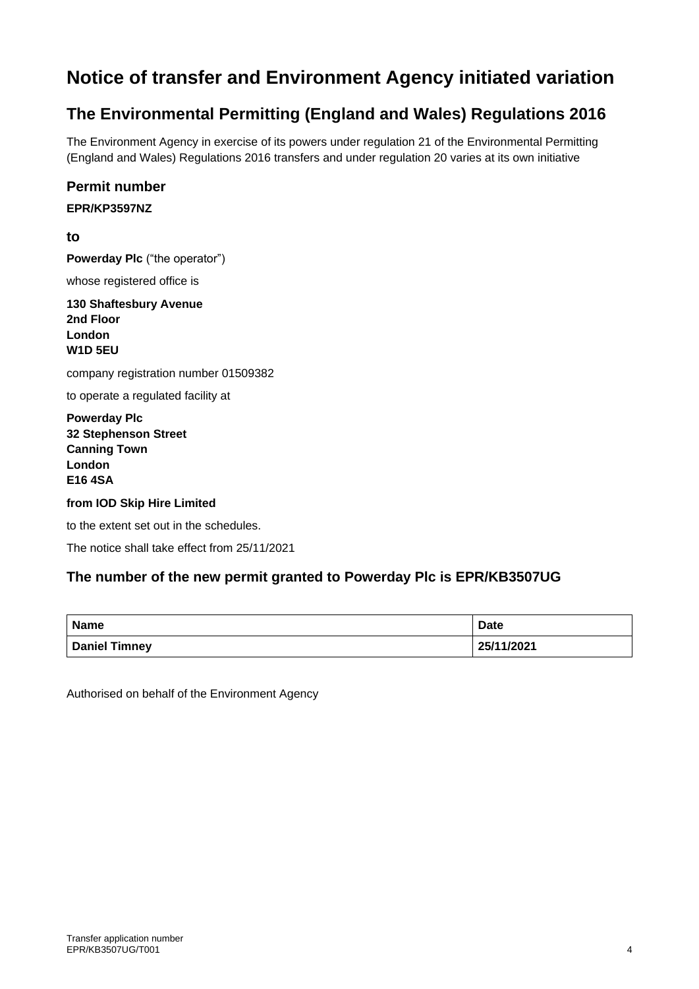## **Notice of transfer and Environment Agency initiated variation**

## **The Environmental Permitting (England and Wales) Regulations 2016**

The Environment Agency in exercise of its powers under regulation 21 of the Environmental Permitting (England and Wales) Regulations 2016 transfers and under regulation 20 varies at its own initiative

#### **Permit number**

#### **EPR/KP3597NZ**

**to**

**Powerday Plc** ("the operator")

whose registered office is

**130 Shaftesbury Avenue 2nd Floor London W1D 5EU**

company registration number 01509382

to operate a regulated facility at

**Powerday Plc 32 Stephenson Street Canning Town London E16 4SA**

#### **from IOD Skip Hire Limited**

to the extent set out in the schedules.

The notice shall take effect from 25/11/2021

#### **The number of the new permit granted to Powerday Plc is EPR/KB3507UG**

| Name                 | <b>Date</b> |
|----------------------|-------------|
| <b>Daniel Timney</b> | 25/11/2021  |

Authorised on behalf of the Environment Agency